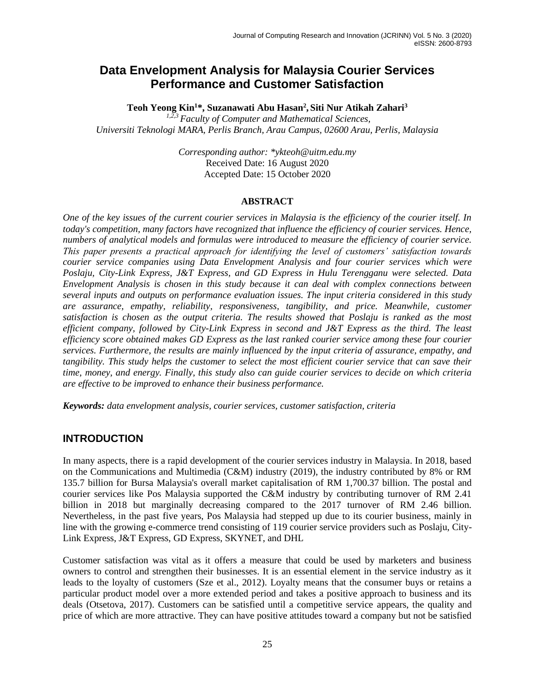# **Data Envelopment Analysis for Malaysia Courier Services Performance and Customer Satisfaction**

**Teoh Yeong Kin<sup>1</sup>\*, Suzanawati Abu Hasan<sup>2</sup> , Siti Nur Atikah Zahari<sup>3</sup>**

*1,2,3 Faculty of Computer and Mathematical Sciences, Universiti Teknologi MARA, Perlis Branch, Arau Campus, 02600 Arau, Perlis, Malaysia*

> *Corresponding author: \*ykteoh@uitm.edu.my* Received Date: 16 August 2020 Accepted Date: 15 October 2020

### **ABSTRACT**

*One of the key issues of the current courier services in Malaysia is the efficiency of the courier itself. In today's competition, many factors have recognized that influence the efficiency of courier services. Hence, numbers of analytical models and formulas were introduced to measure the efficiency of courier service. This paper presents a practical approach for identifying the level of customers' satisfaction towards courier service companies using Data Envelopment Analysis and four courier services which were Poslaju, City-Link Express, J&T Express, and GD Express in Hulu Terengganu were selected. Data Envelopment Analysis is chosen in this study because it can deal with complex connections between several inputs and outputs on performance evaluation issues. The input criteria considered in this study are assurance, empathy, reliability, responsiveness, tangibility, and price. Meanwhile, customer satisfaction is chosen as the output criteria. The results showed that Poslaju is ranked as the most efficient company, followed by City-Link Express in second and J&T Express as the third. The least efficiency score obtained makes GD Express as the last ranked courier service among these four courier services. Furthermore, the results are mainly influenced by the input criteria of assurance, empathy, and tangibility. This study helps the customer to select the most efficient courier service that can save their time, money, and energy. Finally, this study also can guide courier services to decide on which criteria are effective to be improved to enhance their business performance.*

*Keywords: data envelopment analysis, courier services, customer satisfaction, criteria*

# **INTRODUCTION**

In many aspects, there is a rapid development of the courier services industry in Malaysia. In 2018, based on the Communications and Multimedia (C&M) industry (2019), the industry contributed by 8% or RM 135.7 billion for Bursa Malaysia's overall market capitalisation of RM 1,700.37 billion. The postal and courier services like Pos Malaysia supported the C&M industry by contributing turnover of RM 2.41 billion in 2018 but marginally decreasing compared to the 2017 turnover of RM 2.46 billion. Nevertheless, in the past five years, Pos Malaysia had stepped up due to its courier business, mainly in line with the growing e-commerce trend consisting of 119 courier service providers such as Poslaju, City-Link Express, J&T Express, GD Express, SKYNET, and DHL

Customer satisfaction was vital as it offers a measure that could be used by marketers and business owners to control and strengthen their businesses. It is an essential element in the service industry as it leads to the loyalty of customers (Sze et al., 2012). Loyalty means that the consumer buys or retains a particular product model over a more extended period and takes a positive approach to business and its deals (Otsetova, 2017). Customers can be satisfied until a competitive service appears, the quality and price of which are more attractive. They can have positive attitudes toward a company but not be satisfied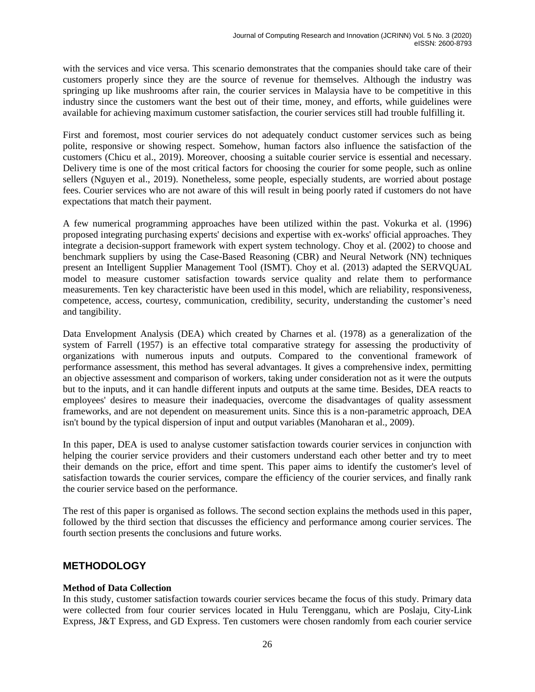with the services and vice versa. This scenario demonstrates that the companies should take care of their customers properly since they are the source of revenue for themselves. Although the industry was springing up like mushrooms after rain, the courier services in Malaysia have to be competitive in this industry since the customers want the best out of their time, money, and efforts, while guidelines were available for achieving maximum customer satisfaction, the courier services still had trouble fulfilling it.

First and foremost, most courier services do not adequately conduct customer services such as being polite, responsive or showing respect. Somehow, human factors also influence the satisfaction of the customers (Chicu et al., 2019). Moreover, choosing a suitable courier service is essential and necessary. Delivery time is one of the most critical factors for choosing the courier for some people, such as online sellers (Nguyen et al., 2019). Nonetheless, some people, especially students, are worried about postage fees. Courier services who are not aware of this will result in being poorly rated if customers do not have expectations that match their payment.

A few numerical programming approaches have been utilized within the past. Vokurka et al. (1996) proposed integrating purchasing experts' decisions and expertise with ex-works' official approaches. They integrate a decision-support framework with expert system technology. Choy et al. (2002) to choose and benchmark suppliers by using the Case-Based Reasoning (CBR) and Neural Network (NN) techniques present an Intelligent Supplier Management Tool (ISMT). Choy et al. (2013) adapted the SERVQUAL model to measure customer satisfaction towards service quality and relate them to performance measurements. Ten key characteristic have been used in this model, which are reliability, responsiveness, competence, access, courtesy, communication, credibility, security, understanding the customer's need and tangibility.

Data Envelopment Analysis (DEA) which created by Charnes et al. (1978) as a generalization of the system of Farrell (1957) is an effective total comparative strategy for assessing the productivity of organizations with numerous inputs and outputs. Compared to the conventional framework of performance assessment, this method has several advantages. It gives a comprehensive index, permitting an objective assessment and comparison of workers, taking under consideration not as it were the outputs but to the inputs, and it can handle different inputs and outputs at the same time. Besides, DEA reacts to employees' desires to measure their inadequacies, overcome the disadvantages of quality assessment frameworks, and are not dependent on measurement units. Since this is a non-parametric approach, DEA isn't bound by the typical dispersion of input and output variables (Manoharan et al., 2009).

In this paper, DEA is used to analyse customer satisfaction towards courier services in conjunction with helping the courier service providers and their customers understand each other better and try to meet their demands on the price, effort and time spent. This paper aims to identify the customer's level of satisfaction towards the courier services, compare the efficiency of the courier services, and finally rank the courier service based on the performance.

The rest of this paper is organised as follows. The second section explains the methods used in this paper, followed by the third section that discusses the efficiency and performance among courier services. The fourth section presents the conclusions and future works.

# **METHODOLOGY**

### **Method of Data Collection**

In this study, customer satisfaction towards courier services became the focus of this study. Primary data were collected from four courier services located in Hulu Terengganu, which are Poslaju, City-Link Express, J&T Express, and GD Express. Ten customers were chosen randomly from each courier service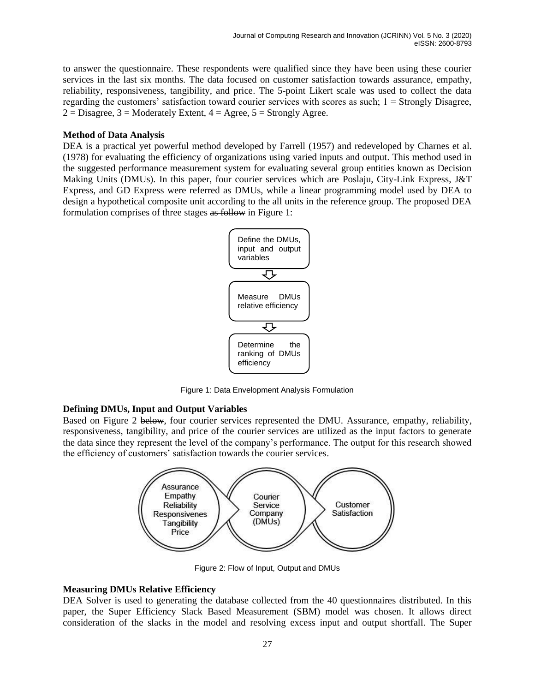to answer the questionnaire. These respondents were qualified since they have been using these courier services in the last six months. The data focused on customer satisfaction towards assurance, empathy, reliability, responsiveness, tangibility, and price. The 5-point Likert scale was used to collect the data regarding the customers' satisfaction toward courier services with scores as such; 1 = Strongly Disagree,  $2 = Disagree, 3 = Moderately Extent, 4 = Agree, 5 = Strongly Agree.$ 

#### **Method of Data Analysis**

DEA is a practical yet powerful method developed by Farrell (1957) and redeveloped by Charnes et al. (1978) for evaluating the efficiency of organizations using varied inputs and output. This method used in the suggested performance measurement system for evaluating several group entities known as Decision Making Units (DMUs). In this paper, four courier services which are Poslaju, City-Link Express, J&T Express, and GD Express were referred as DMUs, while a linear programming model used by DEA to design a hypothetical composite unit according to the all units in the reference group. The proposed DEA formulation comprises of three stages as follow in Figure 1:



Figure 1: Data Envelopment Analysis Formulation

### **Defining DMUs, Input and Output Variables**

Based on Figure 2 below, four courier services represented the DMU. Assurance, empathy, reliability, responsiveness, tangibility, and price of the courier services are utilized as the input factors to generate the data since they represent the level of the company's performance. The output for this research showed the efficiency of customers' satisfaction towards the courier services.



Figure 2: Flow of Input, Output and DMUs

### **Measuring DMUs Relative Efficiency**

DEA Solver is used to generating the database collected from the 40 questionnaires distributed. In this paper, the Super Efficiency Slack Based Measurement (SBM) model was chosen. It allows direct consideration of the slacks in the model and resolving excess input and output shortfall. The Super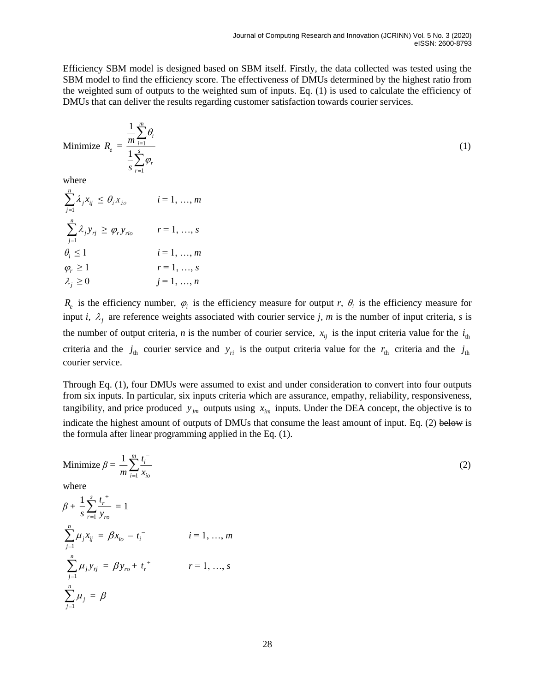Efficiency SBM model is designed based on SBM itself. Firstly, the data collected was tested using the SBM model to find the efficiency score. The effectiveness of DMUs determined by the highest ratio from the weighted sum of outputs to the weighted sum of inputs. Eq. (1) is used to calculate the efficiency of DMUs that can deliver the results regarding customer satisfaction towards courier services.

Minimize 
$$
R_e = \frac{\frac{1}{m} \sum_{i=1}^{m} \theta_i}{\frac{1}{s} \sum_{r=1}^{s} \varphi_r}
$$
 (1)

where

$$
\sum_{j=1}^{n} \lambda_j x_{ij} \leq \theta_i x_{io}
$$
\n $i = 1, ..., m$ \n
$$
\sum_{j=1}^{n} \lambda_j y_{rj} \geq \varphi_r y_{rio}
$$
\n $r = 1, ..., s$ \n
$$
\theta_i \leq 1
$$
\n $i = 1, ..., m$ \n
$$
\varphi_r \geq 1
$$
\n $r = 1, ..., s$ \n
$$
\lambda_j \geq 0
$$
\n $j = 1, ..., n$ 

 $R_e$  is the efficiency number,  $\varphi_i$  is the efficiency measure for output *r*,  $\theta_i$  is the efficiency measure for input *i*,  $\lambda_j$  are reference weights associated with courier service *j*, *m* is the number of input criteria, *s* is the number of output criteria, *n* is the number of courier service,  $x_{ij}$  is the input criteria value for the  $i_{th}$ criteria and the  $j_{th}$  courier service and  $y_{ri}$  is the output criteria value for the  $r_{th}$  criteria and the  $j_{th}$ courier service.

Through Eq. (1), four DMUs were assumed to exist and under consideration to convert into four outputs from six inputs. In particular, six inputs criteria which are assurance, empathy, reliability, responsiveness, tangibility, and price produced  $y_{jm}$  outputs using  $x_{im}$  inputs. Under the DEA concept, the objective is to indicate the highest amount of outputs of DMUs that consume the least amount of input. Eq. (2) below is the formula after linear programming applied in the Eq. (1).

Minimize 
$$
\beta = \frac{1}{m} \sum_{i=1}^{m} \frac{t_i^{-1}}{x_{io}}
$$
  
\nwhere  
\n
$$
\beta + \frac{1}{s} \sum_{r=1}^{s} \frac{t_r^{+}}{y_{ro}} = 1
$$
\n
$$
\sum_{j=1}^{n} \mu_j x_{ij} = \beta x_{io} - t_i^{-} \qquad i = 1, ..., m
$$
\n
$$
\sum_{j=1}^{n} \mu_j y_{rj} = \beta y_{ro} + t_r^{+} \qquad r = 1, ..., s
$$
\n
$$
\sum_{j=1}^{n} \mu_j = \beta
$$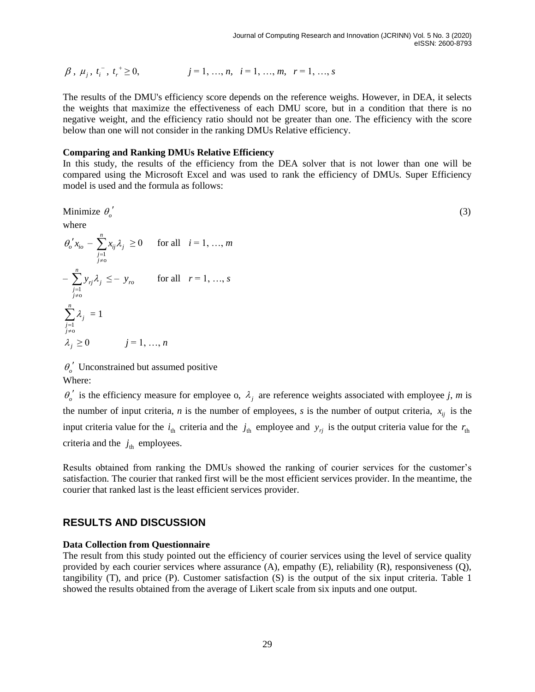$$
\beta, \mu_i, t_i^-, t_i^+ \ge 0, \qquad j = 1, ..., n, \quad i = 1, ..., m, \quad r = 1, ..., s
$$

The results of the DMU's efficiency score depends on the reference weighs. However, in DEA, it selects the weights that maximize the effectiveness of each DMU score, but in a condition that there is no negative weight, and the efficiency ratio should not be greater than one. The efficiency with the score below than one will not consider in the ranking DMUs Relative efficiency.

#### **Comparing and Ranking DMUs Relative Efficiency**

In this study, the results of the efficiency from the DEA solver that is not lower than one will be compared using the Microsoft Excel and was used to rank the efficiency of DMUs. Super Efficiency model is used and the formula as follows:

Minimize 
$$
\theta_o'
$$
 (3)  
where

β, μ<sub>j</sub>, t<sub>i</sub><sup>+</sup>, t<sub>j</sub><sup>+</sup> ≥ 0, 
$$
j = 1, ..., n
$$
,  $i = 1, ...$   
The results of the DMU's efficiency score depends on  
the weights that maximize the effectiveness of each  
negative weight, and the efficiency ratio should not  
below than one will not consider in the ranking DMUs  
**Comparing and Ranking DMUs Relative Efficiency**  
In this study, the results of the efficiency from the  
compared using the Microsoft Excel and was used  
model is used and the formula as follows:  
Minimize θ'<sub>o</sub>'  
where  
 $θ'_{o}x_{io} - \sum_{\substack{j=1 \ j \neq 0}}^{n} x_{ij}λ_j ≥ 0$  for all  $i = 1, ..., m$   
 $-\sum_{\substack{j=1 \ j \neq 0}}^{n} x_{ij}λ_j ≤ - y_{ro}$  for all  $r = 1, ..., s$   
 $\sum_{\substack{j=1 \ j \neq 0}}^{n} λ_j = 1$   
 $λ_j ≥ 0$   $j = 1, ..., n$   
 $θ'_{o}$ ' Unconstrained but assumed positive  
Where:  
 $θ'_{o}$ ' is the efficiency measure for employee o, λ<sub>j</sub> are  
the number of input criteria, *n* is the number of empl  
input criteria value for the  $i_{th}$  criteria and the  $j_{th}$  emp  
criterion. The counter that ranked first will be the mo  
counter that ranked last is the least efficient services pr  
**RESULTS AND DISCUSSION**  
**Data Collection from Questionnaire**  
Proveided by each counter services where assurance (A  
tangibility (T), and price (P). Customer satisfaction  
showed the results obtained from the average of Likert

 $\theta$ <sup>'</sup> Unconstrained but assumed positive Where:

 $\theta_o'$  is the efficiency measure for employee o,  $\lambda_j$  are reference weights associated with employee *j*, *m* is the number of input criteria, *n* is the number of employees, *s* is the number of output criteria,  $x_{ij}$  is the input criteria value for the  $i_{th}$  criteria and the  $j_{th}$  employee and  $y_{rj}$  is the output criteria value for the  $r_{th}$ criteria and the  $j_{\text{th}}$  employees.

Results obtained from ranking the DMUs showed the ranking of courier services for the customer's satisfaction. The courier that ranked first will be the most efficient services provider. In the meantime, the courier that ranked last is the least efficient services provider.

### **RESULTS AND DISCUSSION**

#### **Data Collection from Questionnaire**

The result from this study pointed out the efficiency of courier services using the level of service quality provided by each courier services where assurance (A), empathy (E), reliability (R), responsiveness (Q), tangibility (T), and price (P). Customer satisfaction (S) is the output of the six input criteria. Table 1 showed the results obtained from the average of Likert scale from six inputs and one output.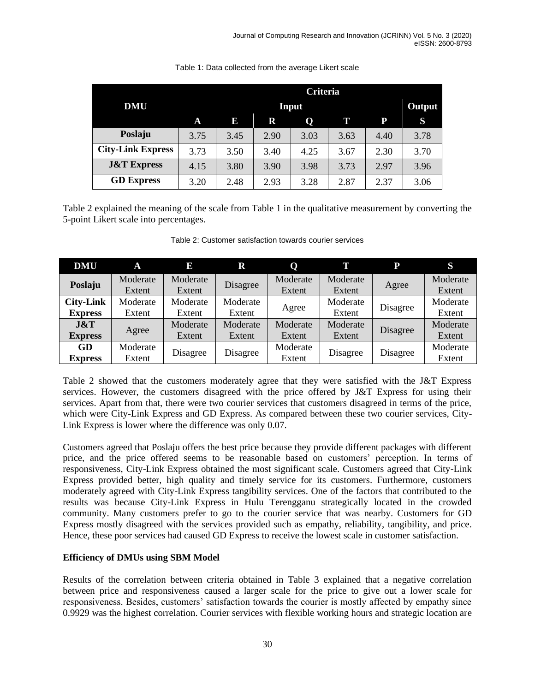|                          |      | Criteria |      |      |      |      |        |
|--------------------------|------|----------|------|------|------|------|--------|
| <b>DMU</b>               |      | Input    |      |      |      |      | Output |
|                          | A    | 13,      | R    | Q    | TI.  | P    | S      |
| Poslaju                  | 3.75 | 3.45     | 2.90 | 3.03 | 3.63 | 4.40 | 3.78   |
| <b>City-Link Express</b> | 3.73 | 3.50     | 3.40 | 4.25 | 3.67 | 2.30 | 3.70   |
| <b>J&amp;T</b> Express   | 4.15 | 3.80     | 3.90 | 3.98 | 3.73 | 2.97 | 3.96   |
| <b>GD Express</b>        | 3.20 | 2.48     | 2.93 | 3.28 | 2.87 | 2.37 | 3.06   |

Table 1: Data collected from the average Likert scale

Table 2 explained the meaning of the scale from Table 1 in the qualitative measurement by converting the 5-point Likert scale into percentages.

| <b>DMU</b>              | A        | E        | $\mathbf R$ | Q        | T        | P        | S        |
|-------------------------|----------|----------|-------------|----------|----------|----------|----------|
| Poslaju                 | Moderate | Moderate | Disagree    | Moderate | Moderate | Agree    | Moderate |
|                         | Extent   | Extent   |             | Extent   | Extent   |          | Extent   |
| <b>City-Link</b>        | Moderate | Moderate | Moderate    | Agree    | Moderate | Disagree | Moderate |
| <b>Express</b>          | Extent   | Extent   | Extent      |          | Extent   |          | Extent   |
| J&T                     |          | Moderate | Moderate    | Moderate | Moderate |          | Moderate |
| Agree<br><b>Express</b> |          | Extent   | Extent      |          | Extent   | Disagree | Extent   |
| GD                      | Moderate |          | Disagree    | Moderate | Disagree | Disagree | Moderate |
| <b>Express</b>          | Extent   | Disagree |             | Extent   |          |          | Extent   |

Table 2: Customer satisfaction towards courier services

Table 2 showed that the customers moderately agree that they were satisfied with the J&T Express services. However, the customers disagreed with the price offered by J&T Express for using their services. Apart from that, there were two courier services that customers disagreed in terms of the price, which were City-Link Express and GD Express. As compared between these two courier services, City-Link Express is lower where the difference was only 0.07.

Customers agreed that Poslaju offers the best price because they provide different packages with different price, and the price offered seems to be reasonable based on customers' perception. In terms of responsiveness, City-Link Express obtained the most significant scale. Customers agreed that City-Link Express provided better, high quality and timely service for its customers. Furthermore, customers moderately agreed with City-Link Express tangibility services. One of the factors that contributed to the results was because City-Link Express in Hulu Terengganu strategically located in the crowded community. Many customers prefer to go to the courier service that was nearby. Customers for GD Express mostly disagreed with the services provided such as empathy, reliability, tangibility, and price. Hence, these poor services had caused GD Express to receive the lowest scale in customer satisfaction.

### **Efficiency of DMUs using SBM Model**

Results of the correlation between criteria obtained in Table 3 explained that a negative correlation between price and responsiveness caused a larger scale for the price to give out a lower scale for responsiveness. Besides, customers' satisfaction towards the courier is mostly affected by empathy since 0.9929 was the highest correlation. Courier services with flexible working hours and strategic location are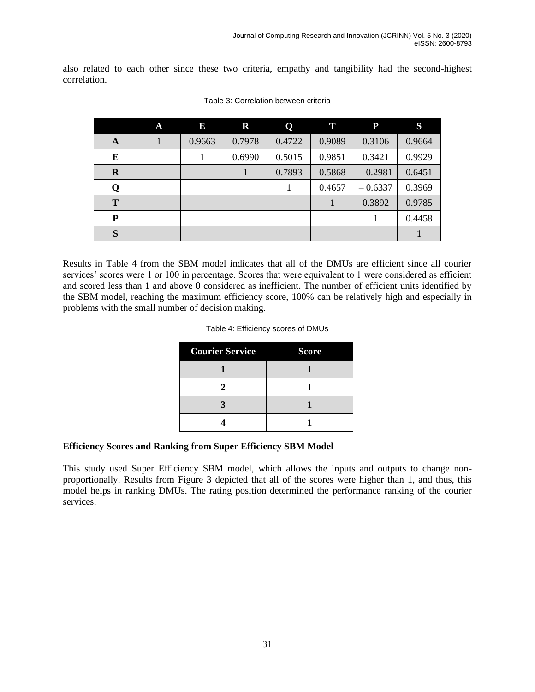also related to each other since these two criteria, empathy and tangibility had the second-highest correlation.

|             | A | E      | $\mathbf R$ | Q      | T      | ${\bf P}$ | S      |
|-------------|---|--------|-------------|--------|--------|-----------|--------|
| A           |   | 0.9663 | 0.7978      | 0.4722 | 0.9089 | 0.3106    | 0.9664 |
| E           |   |        | 0.6990      | 0.5015 | 0.9851 | 0.3421    | 0.9929 |
| $\mathbf R$ |   |        |             | 0.7893 | 0.5868 | $-0.2981$ | 0.6451 |
| Q           |   |        |             |        | 0.4657 | $-0.6337$ | 0.3969 |
| T           |   |        |             |        |        | 0.3892    | 0.9785 |
| P           |   |        |             |        |        |           | 0.4458 |
| S           |   |        |             |        |        |           |        |

Table 3: Correlation between criteria

Results in Table 4 from the SBM model indicates that all of the DMUs are efficient since all courier services' scores were 1 or 100 in percentage. Scores that were equivalent to 1 were considered as efficient and scored less than 1 and above 0 considered as inefficient. The number of efficient units identified by the SBM model, reaching the maximum efficiency score, 100% can be relatively high and especially in problems with the small number of decision making.

#### Table 4: Efficiency scores of DMUs

| <b>Courier Service</b> | <b>Score</b> |  |  |
|------------------------|--------------|--|--|
|                        |              |  |  |
| 2                      |              |  |  |
|                        |              |  |  |
|                        |              |  |  |

#### **Efficiency Scores and Ranking from Super Efficiency SBM Model**

This study used Super Efficiency SBM model, which allows the inputs and outputs to change nonproportionally. Results from Figure 3 depicted that all of the scores were higher than 1, and thus, this model helps in ranking DMUs. The rating position determined the performance ranking of the courier services.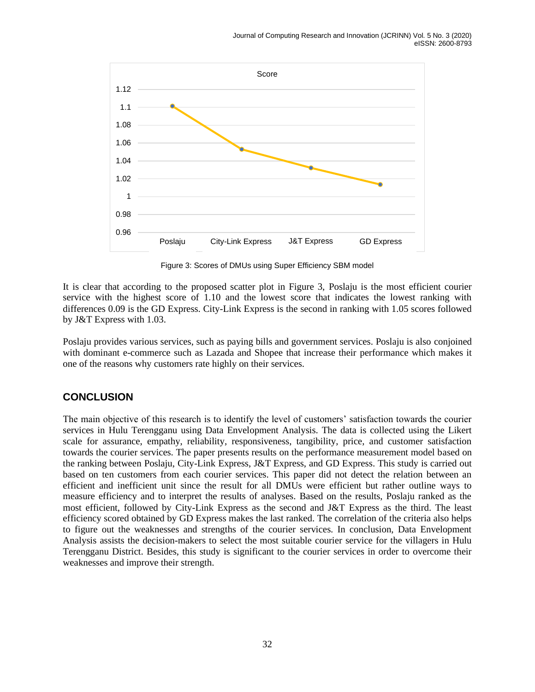

Figure 3: Scores of DMUs using Super Efficiency SBM model

It is clear that according to the proposed scatter plot in Figure 3, Poslaju is the most efficient courier service with the highest score of 1.10 and the lowest score that indicates the lowest ranking with differences 0.09 is the GD Express. City-Link Express is the second in ranking with 1.05 scores followed by J&T Express with 1.03.

Poslaju provides various services, such as paying bills and government services. Poslaju is also conjoined with dominant e-commerce such as Lazada and Shopee that increase their performance which makes it one of the reasons why customers rate highly on their services.

# **CONCLUSION**

The main objective of this research is to identify the level of customers' satisfaction towards the courier services in Hulu Terengganu using Data Envelopment Analysis. The data is collected using the Likert scale for assurance, empathy, reliability, responsiveness, tangibility, price, and customer satisfaction towards the courier services. The paper presents results on the performance measurement model based on the ranking between Poslaju, City-Link Express, J&T Express, and GD Express. This study is carried out based on ten customers from each courier services. This paper did not detect the relation between an efficient and inefficient unit since the result for all DMUs were efficient but rather outline ways to measure efficiency and to interpret the results of analyses. Based on the results, Poslaju ranked as the most efficient, followed by City-Link Express as the second and J&T Express as the third. The least efficiency scored obtained by GD Express makes the last ranked. The correlation of the criteria also helps to figure out the weaknesses and strengths of the courier services. In conclusion, Data Envelopment Analysis assists the decision-makers to select the most suitable courier service for the villagers in Hulu Terengganu District. Besides, this study is significant to the courier services in order to overcome their weaknesses and improve their strength.